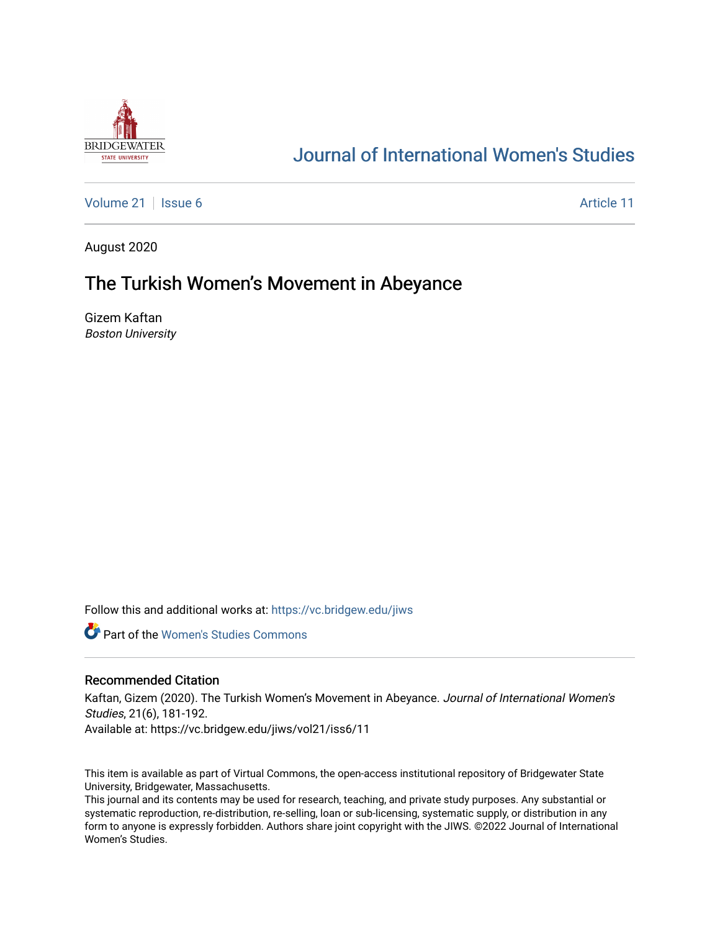

# [Journal of International Women's Studies](https://vc.bridgew.edu/jiws)

[Volume 21](https://vc.bridgew.edu/jiws/vol21) | [Issue 6](https://vc.bridgew.edu/jiws/vol21/iss6) Article 11

August 2020

## The Turkish Women's Movement in Abeyance

Gizem Kaftan Boston University

Follow this and additional works at: [https://vc.bridgew.edu/jiws](https://vc.bridgew.edu/jiws?utm_source=vc.bridgew.edu%2Fjiws%2Fvol21%2Fiss6%2F11&utm_medium=PDF&utm_campaign=PDFCoverPages)

**C** Part of the Women's Studies Commons

#### Recommended Citation

Kaftan, Gizem (2020). The Turkish Women's Movement in Abeyance. Journal of International Women's Studies, 21(6), 181-192. Available at: https://vc.bridgew.edu/jiws/vol21/iss6/11

This item is available as part of Virtual Commons, the open-access institutional repository of Bridgewater State University, Bridgewater, Massachusetts.

This journal and its contents may be used for research, teaching, and private study purposes. Any substantial or systematic reproduction, re-distribution, re-selling, loan or sub-licensing, systematic supply, or distribution in any form to anyone is expressly forbidden. Authors share joint copyright with the JIWS. ©2022 Journal of International Women's Studies.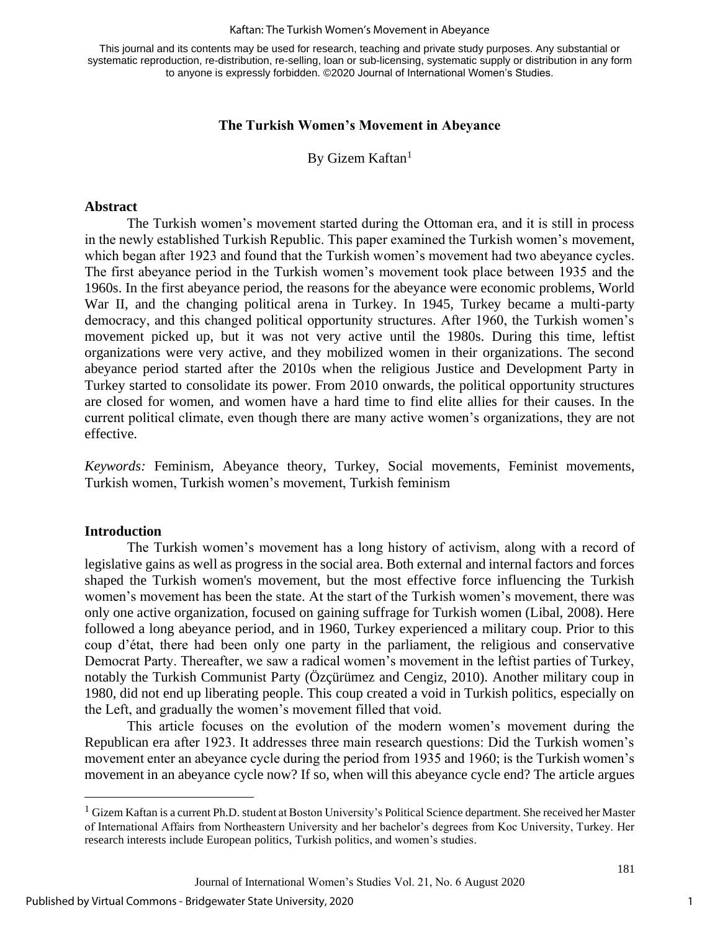#### Kaftan: The Turkish Women's Movement in Abeyance

This journal and its contents may be used for research, teaching and private study purposes. Any substantial or systematic reproduction, re-distribution, re-selling, loan or sub-licensing, systematic supply or distribution in any form to anyone is expressly forbidden. ©2020 Journal of International Women's Studies.

#### **The Turkish Women's Movement in Abeyance**

By Gizem Kaftan<sup>1</sup>

#### **Abstract**

The Turkish women's movement started during the Ottoman era, and it is still in process in the newly established Turkish Republic. This paper examined the Turkish women's movement, which began after 1923 and found that the Turkish women's movement had two abeyance cycles. The first abeyance period in the Turkish women's movement took place between 1935 and the 1960s. In the first abeyance period, the reasons for the abeyance were economic problems, World War II, and the changing political arena in Turkey. In 1945, Turkey became a multi-party democracy, and this changed political opportunity structures. After 1960, the Turkish women's movement picked up, but it was not very active until the 1980s. During this time, leftist organizations were very active, and they mobilized women in their organizations. The second abeyance period started after the 2010s when the religious Justice and Development Party in Turkey started to consolidate its power. From 2010 onwards, the political opportunity structures are closed for women, and women have a hard time to find elite allies for their causes. In the current political climate, even though there are many active women's organizations, they are not effective.

*Keywords:* Feminism, Abeyance theory, Turkey, Social movements, Feminist movements, Turkish women, Turkish women's movement, Turkish feminism

#### **Introduction**

The Turkish women's movement has a long history of activism, along with a record of legislative gains as well as progress in the social area. Both external and internal factors and forces shaped the Turkish women's movement, but the most effective force influencing the Turkish women's movement has been the state. At the start of the Turkish women's movement, there was only one active organization, focused on gaining suffrage for Turkish women (Libal, 2008). Here followed a long abeyance period, and in 1960, Turkey experienced a military coup. Prior to this coup d'état, there had been only one party in the parliament, the religious and conservative Democrat Party. Thereafter, we saw a radical women's movement in the leftist parties of Turkey, notably the Turkish Communist Party (Özçürümez and Cengiz, 2010). Another military coup in 1980, did not end up liberating people. This coup created a void in Turkish politics, especially on the Left, and gradually the women's movement filled that void.

This article focuses on the evolution of the modern women's movement during the Republican era after 1923. It addresses three main research questions: Did the Turkish women's movement enter an abeyance cycle during the period from 1935 and 1960; is the Turkish women's movement in an abeyance cycle now? If so, when will this abeyance cycle end? The article argues

<sup>&</sup>lt;sup>1</sup> Gizem Kaftan is a current Ph.D. student at Boston University's Political Science department. She received her Master of International Affairs from Northeastern University and her bachelor's degrees from Koc University, Turkey. Her research interests include European politics, Turkish politics, and women's studies.

Journal of International Women's Studies Vol. 21, No. 6 August 2020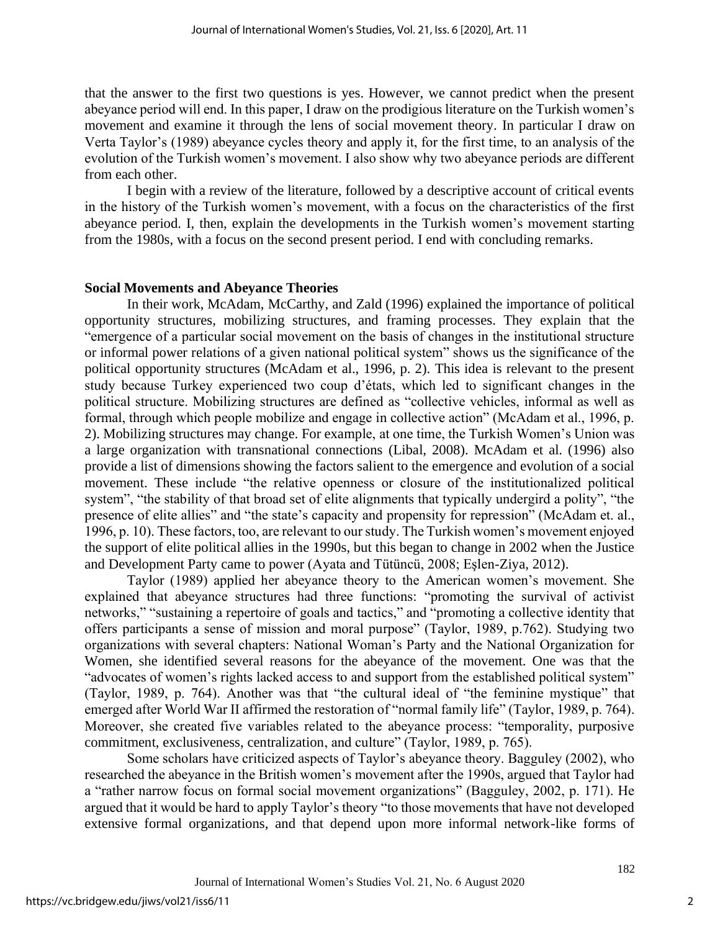that the answer to the first two questions is yes. However, we cannot predict when the present abeyance period will end. In this paper, I draw on the prodigious literature on the Turkish women's movement and examine it through the lens of social movement theory. In particular I draw on Verta Taylor's (1989) abeyance cycles theory and apply it, for the first time, to an analysis of the evolution of the Turkish women's movement. I also show why two abeyance periods are different from each other.

I begin with a review of the literature, followed by a descriptive account of critical events in the history of the Turkish women's movement, with a focus on the characteristics of the first abeyance period. I, then, explain the developments in the Turkish women's movement starting from the 1980s, with a focus on the second present period. I end with concluding remarks.

#### **Social Movements and Abeyance Theories**

In their work, McAdam, McCarthy, and Zald (1996) explained the importance of political opportunity structures, mobilizing structures, and framing processes. They explain that the "emergence of a particular social movement on the basis of changes in the institutional structure or informal power relations of a given national political system" shows us the significance of the political opportunity structures (McAdam et al., 1996, p. 2). This idea is relevant to the present study because Turkey experienced two coup d'états, which led to significant changes in the political structure. Mobilizing structures are defined as "collective vehicles, informal as well as formal, through which people mobilize and engage in collective action" (McAdam et al., 1996, p. 2). Mobilizing structures may change. For example, at one time, the Turkish Women's Union was a large organization with transnational connections (Libal, 2008). McAdam et al. (1996) also provide a list of dimensions showing the factors salient to the emergence and evolution of a social movement. These include "the relative openness or closure of the institutionalized political system", "the stability of that broad set of elite alignments that typically undergird a polity", "the presence of elite allies" and "the state's capacity and propensity for repression" (McAdam et. al., 1996, p. 10). These factors, too, are relevant to our study. The Turkish women's movement enjoyed the support of elite political allies in the 1990s, but this began to change in 2002 when the Justice and Development Party came to power (Ayata and Tütüncü, 2008; Eşlen-Ziya, 2012).

Taylor (1989) applied her abeyance theory to the American women's movement. She explained that abeyance structures had three functions: "promoting the survival of activist networks," "sustaining a repertoire of goals and tactics," and "promoting a collective identity that offers participants a sense of mission and moral purpose" (Taylor, 1989, p.762). Studying two organizations with several chapters: National Woman's Party and the National Organization for Women, she identified several reasons for the abeyance of the movement. One was that the "advocates of women's rights lacked access to and support from the established political system" (Taylor, 1989, p. 764). Another was that "the cultural ideal of "the feminine mystique" that emerged after World War II affirmed the restoration of "normal family life" (Taylor, 1989, p. 764). Moreover, she created five variables related to the abeyance process: "temporality, purposive commitment, exclusiveness, centralization, and culture" (Taylor, 1989, p. 765).

Some scholars have criticized aspects of Taylor's abeyance theory. Bagguley (2002), who researched the abeyance in the British women's movement after the 1990s, argued that Taylor had a "rather narrow focus on formal social movement organizations" (Bagguley, 2002, p. 171). He argued that it would be hard to apply Taylor's theory "to those movements that have not developed extensive formal organizations, and that depend upon more informal network-like forms of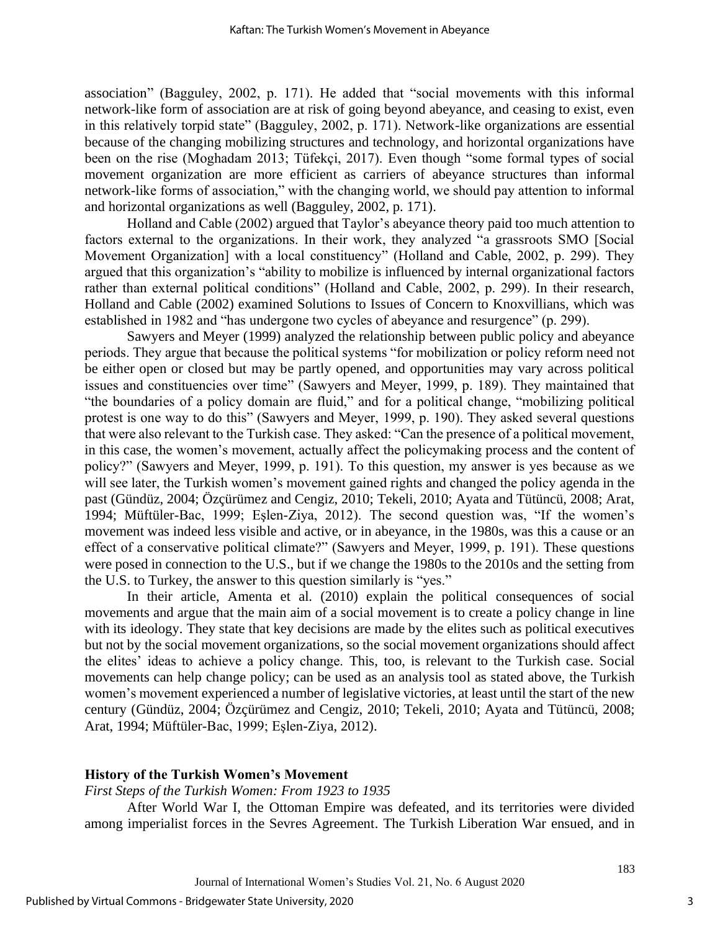association" (Bagguley, 2002, p. 171). He added that "social movements with this informal network-like form of association are at risk of going beyond abeyance, and ceasing to exist, even in this relatively torpid state" (Bagguley, 2002, p. 171). Network-like organizations are essential because of the changing mobilizing structures and technology, and horizontal organizations have been on the rise (Moghadam 2013; Tüfekçi, 2017). Even though "some formal types of social movement organization are more efficient as carriers of abeyance structures than informal network-like forms of association," with the changing world, we should pay attention to informal and horizontal organizations as well (Bagguley, 2002, p. 171).

Holland and Cable (2002) argued that Taylor's abeyance theory paid too much attention to factors external to the organizations. In their work, they analyzed "a grassroots SMO [Social Movement Organization] with a local constituency" (Holland and Cable, 2002, p. 299). They argued that this organization's "ability to mobilize is influenced by internal organizational factors rather than external political conditions" (Holland and Cable, 2002, p. 299). In their research, Holland and Cable (2002) examined Solutions to Issues of Concern to Knoxvillians, which was established in 1982 and "has undergone two cycles of abeyance and resurgence" (p. 299).

Sawyers and Meyer (1999) analyzed the relationship between public policy and abeyance periods. They argue that because the political systems "for mobilization or policy reform need not be either open or closed but may be partly opened, and opportunities may vary across political issues and constituencies over time" (Sawyers and Meyer, 1999, p. 189). They maintained that "the boundaries of a policy domain are fluid," and for a political change, "mobilizing political protest is one way to do this" (Sawyers and Meyer, 1999, p. 190). They asked several questions that were also relevant to the Turkish case. They asked: "Can the presence of a political movement, in this case, the women's movement, actually affect the policymaking process and the content of policy?" (Sawyers and Meyer, 1999, p. 191). To this question, my answer is yes because as we will see later, the Turkish women's movement gained rights and changed the policy agenda in the past (Gündüz, 2004; Özçürümez and Cengiz, 2010; Tekeli, 2010; Ayata and Tütüncü, 2008; Arat, 1994; Müftüler-Bac, 1999; Eşlen-Ziya, 2012). The second question was, "If the women's movement was indeed less visible and active, or in abeyance, in the 1980s, was this a cause or an effect of a conservative political climate?" (Sawyers and Meyer, 1999, p. 191). These questions were posed in connection to the U.S., but if we change the 1980s to the 2010s and the setting from the U.S. to Turkey, the answer to this question similarly is "yes."

In their article, Amenta et al. (2010) explain the political consequences of social movements and argue that the main aim of a social movement is to create a policy change in line with its ideology. They state that key decisions are made by the elites such as political executives but not by the social movement organizations, so the social movement organizations should affect the elites' ideas to achieve a policy change. This, too, is relevant to the Turkish case. Social movements can help change policy; can be used as an analysis tool as stated above, the Turkish women's movement experienced a number of legislative victories, at least until the start of the new century (Gündüz, 2004; Özçürümez and Cengiz, 2010; Tekeli, 2010; Ayata and Tütüncü, 2008; Arat, 1994; Müftüler-Bac, 1999; Eşlen-Ziya, 2012).

#### **History of the Turkish Women's Movement**

#### *First Steps of the Turkish Women: From 1923 to 1935*

After World War I, the Ottoman Empire was defeated, and its territories were divided among imperialist forces in the Sevres Agreement. The Turkish Liberation War ensued, and in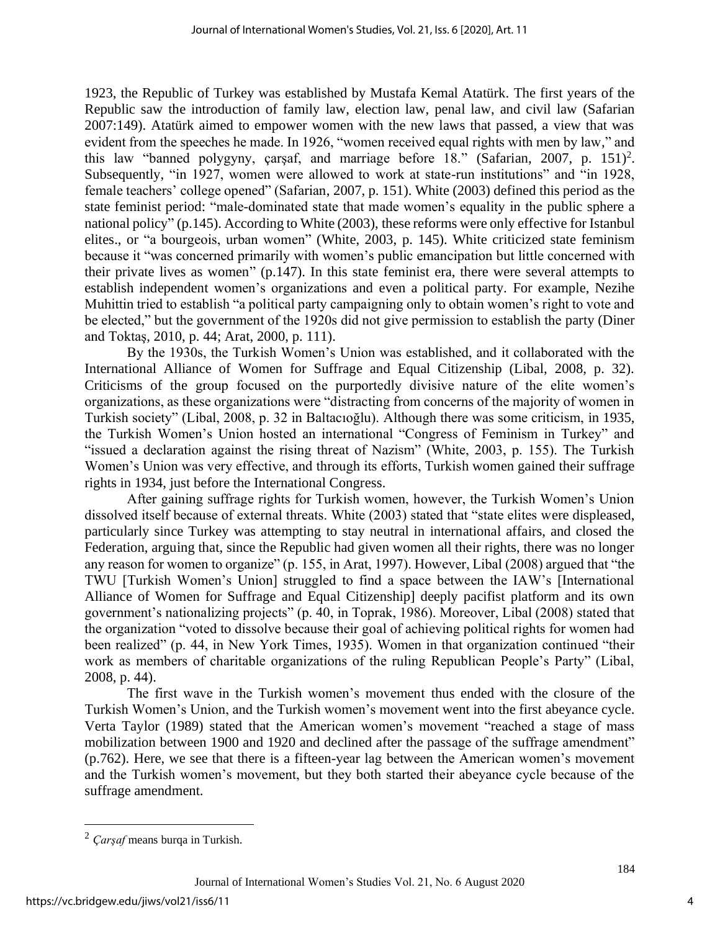1923, the Republic of Turkey was established by Mustafa Kemal Atatürk. The first years of the Republic saw the introduction of family law, election law, penal law, and civil law (Safarian 2007:149). Atatürk aimed to empower women with the new laws that passed, a view that was evident from the speeches he made. In 1926, "women received equal rights with men by law," and this law "banned polygyny, çarşaf, and marriage before 18." (Safarian, 2007, p. 151) 2 . Subsequently, "in 1927, women were allowed to work at state-run institutions" and "in 1928, female teachers' college opened" (Safarian, 2007, p. 151). White (2003) defined this period as the state feminist period: "male-dominated state that made women's equality in the public sphere a national policy" (p.145). According to White (2003), these reforms were only effective for Istanbul elites., or "a bourgeois, urban women" (White, 2003, p. 145). White criticized state feminism because it "was concerned primarily with women's public emancipation but little concerned with their private lives as women" (p.147). In this state feminist era, there were several attempts to establish independent women's organizations and even a political party. For example, Nezihe Muhittin tried to establish "a political party campaigning only to obtain women's right to vote and be elected," but the government of the 1920s did not give permission to establish the party (Diner and Toktaş, 2010, p. 44; Arat, 2000, p. 111).

By the 1930s, the Turkish Women's Union was established, and it collaborated with the International Alliance of Women for Suffrage and Equal Citizenship (Libal, 2008, p. 32). Criticisms of the group focused on the purportedly divisive nature of the elite women's organizations, as these organizations were "distracting from concerns of the majority of women in Turkish society" (Libal, 2008, p. 32 in Baltacıoğlu). Although there was some criticism, in 1935, the Turkish Women's Union hosted an international "Congress of Feminism in Turkey" and "issued a declaration against the rising threat of Nazism" (White, 2003, p. 155). The Turkish Women's Union was very effective, and through its efforts, Turkish women gained their suffrage rights in 1934, just before the International Congress.

After gaining suffrage rights for Turkish women, however, the Turkish Women's Union dissolved itself because of external threats. White (2003) stated that "state elites were displeased, particularly since Turkey was attempting to stay neutral in international affairs, and closed the Federation, arguing that, since the Republic had given women all their rights, there was no longer any reason for women to organize" (p. 155, in Arat, 1997). However, Libal (2008) argued that "the TWU [Turkish Women's Union] struggled to find a space between the IAW's [International Alliance of Women for Suffrage and Equal Citizenship] deeply pacifist platform and its own government's nationalizing projects" (p. 40, in Toprak, 1986). Moreover, Libal (2008) stated that the organization "voted to dissolve because their goal of achieving political rights for women had been realized" (p. 44, in New York Times, 1935). Women in that organization continued "their work as members of charitable organizations of the ruling Republican People's Party" (Libal, 2008, p. 44).

The first wave in the Turkish women's movement thus ended with the closure of the Turkish Women's Union, and the Turkish women's movement went into the first abeyance cycle. Verta Taylor (1989) stated that the American women's movement "reached a stage of mass mobilization between 1900 and 1920 and declined after the passage of the suffrage amendment" (p.762). Here, we see that there is a fifteen-year lag between the American women's movement and the Turkish women's movement, but they both started their abeyance cycle because of the suffrage amendment.

<sup>2</sup> *Çarşaf* means burqa in Turkish.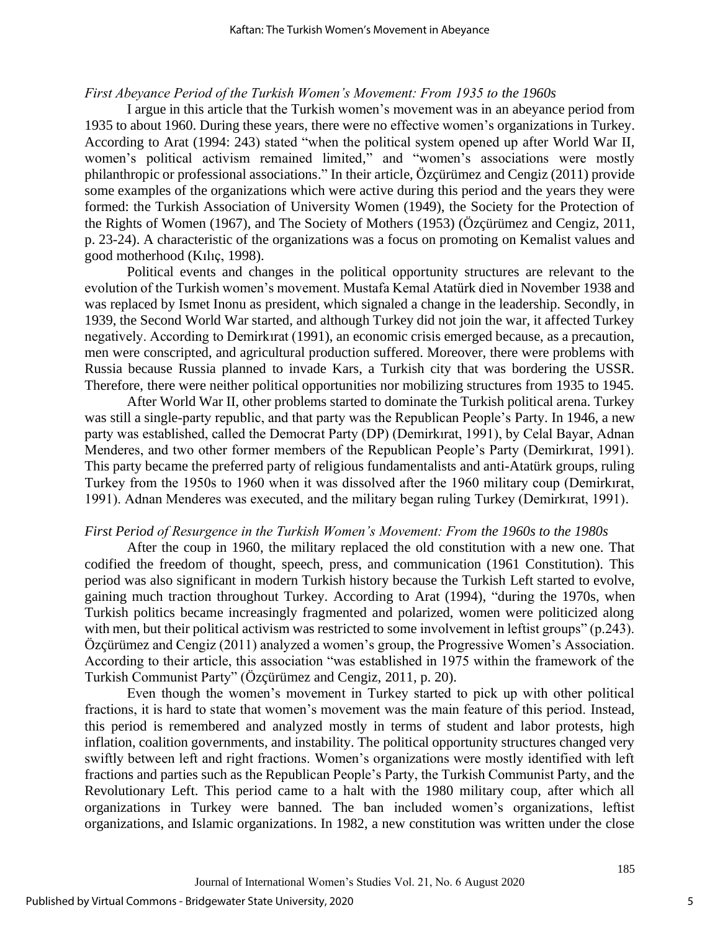#### *First Abeyance Period of the Turkish Women's Movement: From 1935 to the 1960s*

I argue in this article that the Turkish women's movement was in an abeyance period from 1935 to about 1960. During these years, there were no effective women's organizations in Turkey. According to Arat (1994: 243) stated "when the political system opened up after World War II, women's political activism remained limited," and "women's associations were mostly philanthropic or professional associations." In their article, Özçürümez and Cengiz (2011) provide some examples of the organizations which were active during this period and the years they were formed: the Turkish Association of University Women (1949), the Society for the Protection of the Rights of Women (1967), and The Society of Mothers (1953) (Özçürümez and Cengiz, 2011, p. 23-24). A characteristic of the organizations was a focus on promoting on Kemalist values and good motherhood (Kılıç, 1998).

Political events and changes in the political opportunity structures are relevant to the evolution of the Turkish women's movement. Mustafa Kemal Atatürk died in November 1938 and was replaced by Ismet Inonu as president, which signaled a change in the leadership. Secondly, in 1939, the Second World War started, and although Turkey did not join the war, it affected Turkey negatively. According to Demirkırat (1991), an economic crisis emerged because, as a precaution, men were conscripted, and agricultural production suffered. Moreover, there were problems with Russia because Russia planned to invade Kars, a Turkish city that was bordering the USSR. Therefore, there were neither political opportunities nor mobilizing structures from 1935 to 1945.

After World War II, other problems started to dominate the Turkish political arena. Turkey was still a single-party republic, and that party was the Republican People's Party. In 1946, a new party was established, called the Democrat Party (DP) (Demirkırat, 1991), by Celal Bayar, Adnan Menderes, and two other former members of the Republican People's Party (Demirkırat, 1991). This party became the preferred party of religious fundamentalists and anti-Atatürk groups, ruling Turkey from the 1950s to 1960 when it was dissolved after the 1960 military coup (Demirkırat, 1991). Adnan Menderes was executed, and the military began ruling Turkey (Demirkırat, 1991).

#### *First Period of Resurgence in the Turkish Women's Movement: From the 1960s to the 1980s*

After the coup in 1960, the military replaced the old constitution with a new one. That codified the freedom of thought, speech, press, and communication (1961 Constitution). This period was also significant in modern Turkish history because the Turkish Left started to evolve, gaining much traction throughout Turkey. According to Arat (1994), "during the 1970s, when Turkish politics became increasingly fragmented and polarized, women were politicized along with men, but their political activism was restricted to some involvement in leftist groups" (p.243). Özçürümez and Cengiz (2011) analyzed a women's group, the Progressive Women's Association. According to their article, this association "was established in 1975 within the framework of the Turkish Communist Party" (Özçürümez and Cengiz, 2011, p. 20).

Even though the women's movement in Turkey started to pick up with other political fractions, it is hard to state that women's movement was the main feature of this period. Instead, this period is remembered and analyzed mostly in terms of student and labor protests, high inflation, coalition governments, and instability. The political opportunity structures changed very swiftly between left and right fractions. Women's organizations were mostly identified with left fractions and parties such as the Republican People's Party, the Turkish Communist Party, and the Revolutionary Left. This period came to a halt with the 1980 military coup, after which all organizations in Turkey were banned. The ban included women's organizations, leftist organizations, and Islamic organizations. In 1982, a new constitution was written under the close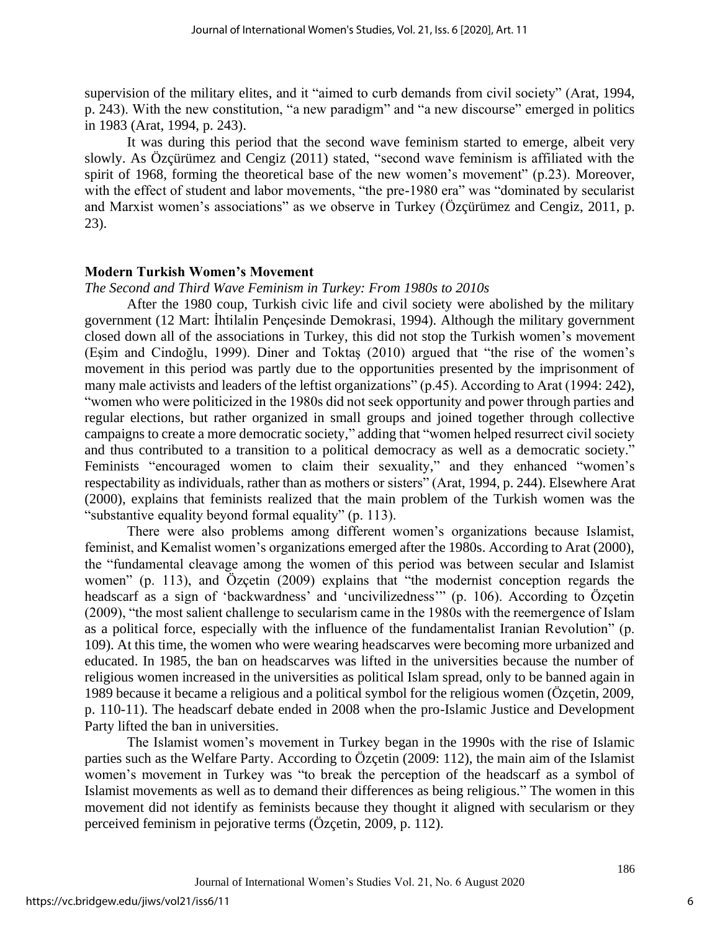supervision of the military elites, and it "aimed to curb demands from civil society" (Arat, 1994, p. 243). With the new constitution, "a new paradigm" and "a new discourse" emerged in politics in 1983 (Arat, 1994, p. 243).

It was during this period that the second wave feminism started to emerge, albeit very slowly. As Özçürümez and Cengiz (2011) stated, "second wave feminism is affiliated with the spirit of 1968, forming the theoretical base of the new women's movement" (p.23). Moreover, with the effect of student and labor movements, "the pre-1980 era" was "dominated by secularist and Marxist women's associations" as we observe in Turkey (Özçürümez and Cengiz, 2011, p. 23).

#### **Modern Turkish Women's Movement**

*The Second and Third Wave Feminism in Turkey: From 1980s to 2010s*

After the 1980 coup, Turkish civic life and civil society were abolished by the military government (12 Mart: İhtilalin Pençesinde Demokrasi, 1994). Although the military government closed down all of the associations in Turkey, this did not stop the Turkish women's movement (Eşim and Cindoğlu, 1999). Diner and Toktaş (2010) argued that "the rise of the women's movement in this period was partly due to the opportunities presented by the imprisonment of many male activists and leaders of the leftist organizations" (p.45). According to Arat (1994: 242), "women who were politicized in the 1980s did not seek opportunity and power through parties and regular elections, but rather organized in small groups and joined together through collective campaigns to create a more democratic society," adding that "women helped resurrect civil society and thus contributed to a transition to a political democracy as well as a democratic society." Feminists "encouraged women to claim their sexuality," and they enhanced "women's respectability as individuals, rather than as mothers or sisters" (Arat, 1994, p. 244). Elsewhere Arat (2000), explains that feminists realized that the main problem of the Turkish women was the "substantive equality beyond formal equality" (p. 113).

There were also problems among different women's organizations because Islamist, feminist, and Kemalist women's organizations emerged after the 1980s. According to Arat (2000), the "fundamental cleavage among the women of this period was between secular and Islamist women" (p. 113), and Özçetin (2009) explains that "the modernist conception regards the headscarf as a sign of 'backwardness' and 'uncivilizedness'" (p. 106). According to Özçetin (2009), "the most salient challenge to secularism came in the 1980s with the reemergence of Islam as a political force, especially with the influence of the fundamentalist Iranian Revolution" (p. 109). At this time, the women who were wearing headscarves were becoming more urbanized and educated. In 1985, the ban on headscarves was lifted in the universities because the number of religious women increased in the universities as political Islam spread, only to be banned again in 1989 because it became a religious and a political symbol for the religious women (Özçetin, 2009, p. 110-11). The headscarf debate ended in 2008 when the pro-Islamic Justice and Development Party lifted the ban in universities.

The Islamist women's movement in Turkey began in the 1990s with the rise of Islamic parties such as the Welfare Party. According to Özçetin (2009: 112), the main aim of the Islamist women's movement in Turkey was "to break the perception of the headscarf as a symbol of Islamist movements as well as to demand their differences as being religious." The women in this movement did not identify as feminists because they thought it aligned with secularism or they perceived feminism in pejorative terms (Özçetin, 2009, p. 112).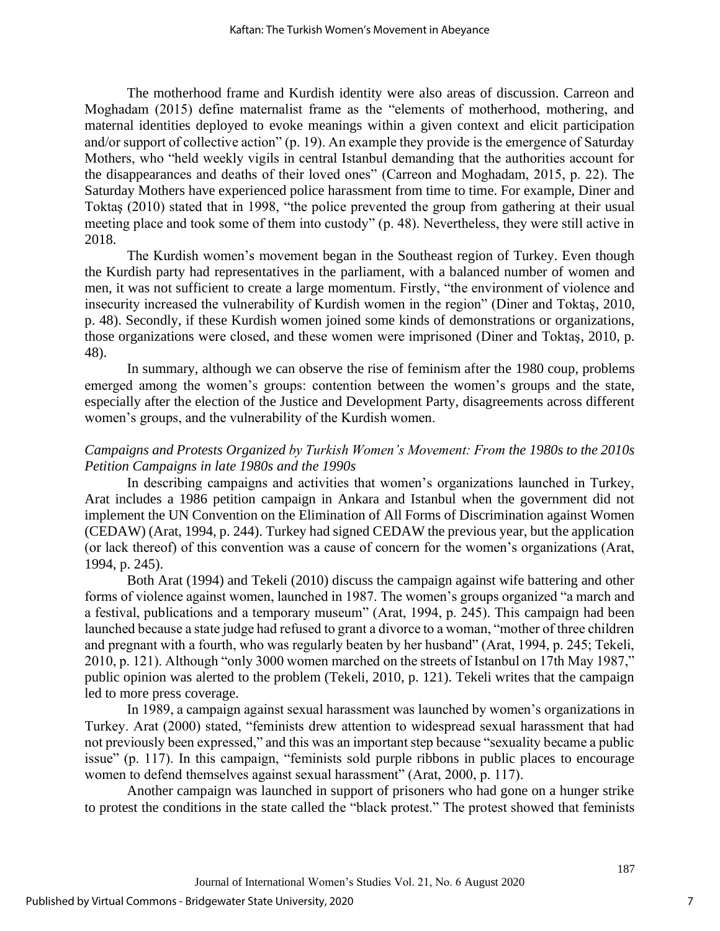The motherhood frame and Kurdish identity were also areas of discussion. Carreon and Moghadam (2015) define maternalist frame as the "elements of motherhood, mothering, and maternal identities deployed to evoke meanings within a given context and elicit participation and/or support of collective action" (p. 19). An example they provide is the emergence of Saturday Mothers, who "held weekly vigils in central Istanbul demanding that the authorities account for the disappearances and deaths of their loved ones" (Carreon and Moghadam, 2015, p. 22). The Saturday Mothers have experienced police harassment from time to time. For example, Diner and Toktaş (2010) stated that in 1998, "the police prevented the group from gathering at their usual meeting place and took some of them into custody" (p. 48). Nevertheless, they were still active in 2018.

The Kurdish women's movement began in the Southeast region of Turkey. Even though the Kurdish party had representatives in the parliament, with a balanced number of women and men, it was not sufficient to create a large momentum. Firstly, "the environment of violence and insecurity increased the vulnerability of Kurdish women in the region" (Diner and Toktaş, 2010, p. 48). Secondly, if these Kurdish women joined some kinds of demonstrations or organizations, those organizations were closed, and these women were imprisoned (Diner and Toktaş, 2010, p. 48).

In summary, although we can observe the rise of feminism after the 1980 coup, problems emerged among the women's groups: contention between the women's groups and the state, especially after the election of the Justice and Development Party, disagreements across different women's groups, and the vulnerability of the Kurdish women.

### *Campaigns and Protests Organized by Turkish Women's Movement: From the 1980s to the 2010s Petition Campaigns in late 1980s and the 1990s*

In describing campaigns and activities that women's organizations launched in Turkey, Arat includes a 1986 petition campaign in Ankara and Istanbul when the government did not implement the UN Convention on the Elimination of All Forms of Discrimination against Women (CEDAW) (Arat, 1994, p. 244). Turkey had signed CEDAW the previous year, but the application (or lack thereof) of this convention was a cause of concern for the women's organizations (Arat, 1994, p. 245).

Both Arat (1994) and Tekeli (2010) discuss the campaign against wife battering and other forms of violence against women, launched in 1987. The women's groups organized "a march and a festival, publications and a temporary museum" (Arat, 1994, p. 245). This campaign had been launched because a state judge had refused to grant a divorce to a woman, "mother of three children and pregnant with a fourth, who was regularly beaten by her husband" (Arat, 1994, p. 245; Tekeli, 2010, p. 121). Although "only 3000 women marched on the streets of Istanbul on 17th May 1987," public opinion was alerted to the problem (Tekeli, 2010, p. 121). Tekeli writes that the campaign led to more press coverage.

In 1989, a campaign against sexual harassment was launched by women's organizations in Turkey. Arat (2000) stated, "feminists drew attention to widespread sexual harassment that had not previously been expressed," and this was an important step because "sexuality became a public issue" (p. 117). In this campaign, "feminists sold purple ribbons in public places to encourage women to defend themselves against sexual harassment" (Arat, 2000, p. 117).

Another campaign was launched in support of prisoners who had gone on a hunger strike to protest the conditions in the state called the "black protest." The protest showed that feminists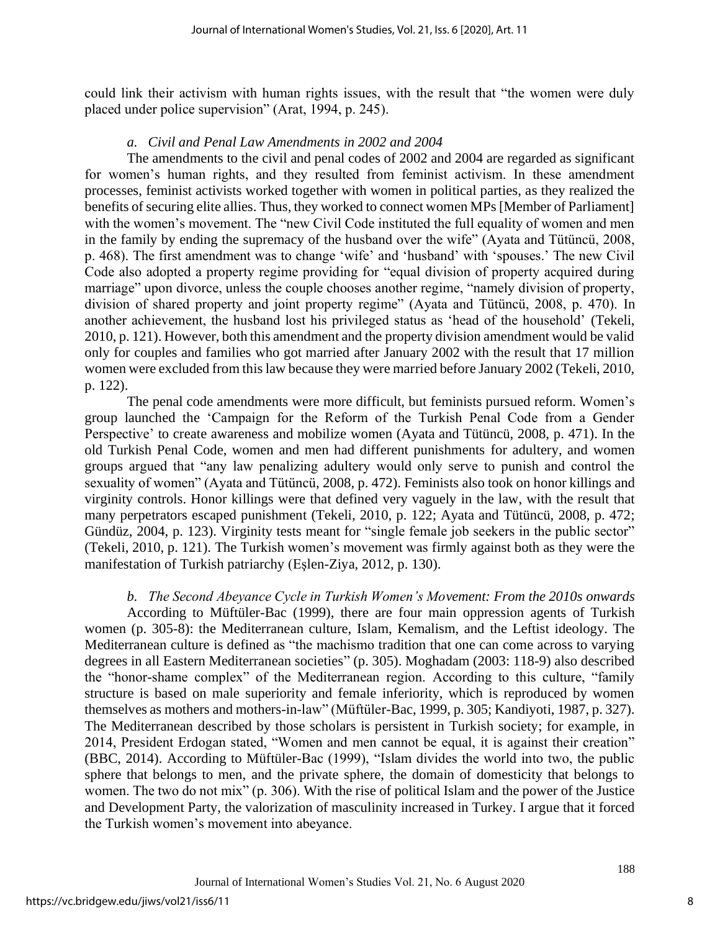could link their activism with human rights issues, with the result that "the women were duly placed under police supervision" (Arat, 1994, p. 245).

#### *a. Civil and Penal Law Amendments in 2002 and 2004*

The amendments to the civil and penal codes of 2002 and 2004 are regarded as significant for women's human rights, and they resulted from feminist activism. In these amendment processes, feminist activists worked together with women in political parties, as they realized the benefits of securing elite allies. Thus, they worked to connect women MPs [Member of Parliament] with the women's movement. The "new Civil Code instituted the full equality of women and men in the family by ending the supremacy of the husband over the wife" (Ayata and Tütüncü, 2008, p. 468). The first amendment was to change 'wife' and 'husband' with 'spouses.' The new Civil Code also adopted a property regime providing for "equal division of property acquired during marriage" upon divorce, unless the couple chooses another regime, "namely division of property, division of shared property and joint property regime" (Ayata and Tütüncü, 2008, p. 470). In another achievement, the husband lost his privileged status as 'head of the household' (Tekeli, 2010, p. 121). However, both this amendment and the property division amendment would be valid only for couples and families who got married after January 2002 with the result that 17 million women were excluded from this law because they were married before January 2002 (Tekeli, 2010, p. 122).

The penal code amendments were more difficult, but feminists pursued reform. Women's group launched the 'Campaign for the Reform of the Turkish Penal Code from a Gender Perspective' to create awareness and mobilize women (Ayata and Tütüncü, 2008, p. 471). In the old Turkish Penal Code, women and men had different punishments for adultery, and women groups argued that "any law penalizing adultery would only serve to punish and control the sexuality of women" (Ayata and Tütüncü, 2008, p. 472). Feminists also took on honor killings and virginity controls. Honor killings were that defined very vaguely in the law, with the result that many perpetrators escaped punishment (Tekeli, 2010, p. 122; Ayata and Tütüncü, 2008, p. 472; Gündüz, 2004, p. 123). Virginity tests meant for "single female job seekers in the public sector" (Tekeli, 2010, p. 121). The Turkish women's movement was firmly against both as they were the manifestation of Turkish patriarchy (Eşlen-Ziya, 2012, p. 130).

*b. The Second Abeyance Cycle in Turkish Women's Movement: From the 2010s onwards* According to Müftüler-Bac (1999), there are four main oppression agents of Turkish women (p. 305-8): the Mediterranean culture, Islam, Kemalism, and the Leftist ideology. The Mediterranean culture is defined as "the machismo tradition that one can come across to varying degrees in all Eastern Mediterranean societies" (p. 305). Moghadam (2003: 118-9) also described the "honor-shame complex" of the Mediterranean region. According to this culture, "family structure is based on male superiority and female inferiority, which is reproduced by women themselves as mothers and mothers-in-law" (Müftüler-Bac, 1999, p. 305; Kandiyoti, 1987, p. 327). The Mediterranean described by those scholars is persistent in Turkish society; for example, in 2014, President Erdogan stated, "Women and men cannot be equal, it is against their creation" (BBC, 2014). According to Müftüler-Bac (1999), "Islam divides the world into two, the public sphere that belongs to men, and the private sphere, the domain of domesticity that belongs to women. The two do not mix" (p. 306). With the rise of political Islam and the power of the Justice and Development Party, the valorization of masculinity increased in Turkey. I argue that it forced the Turkish women's movement into abeyance.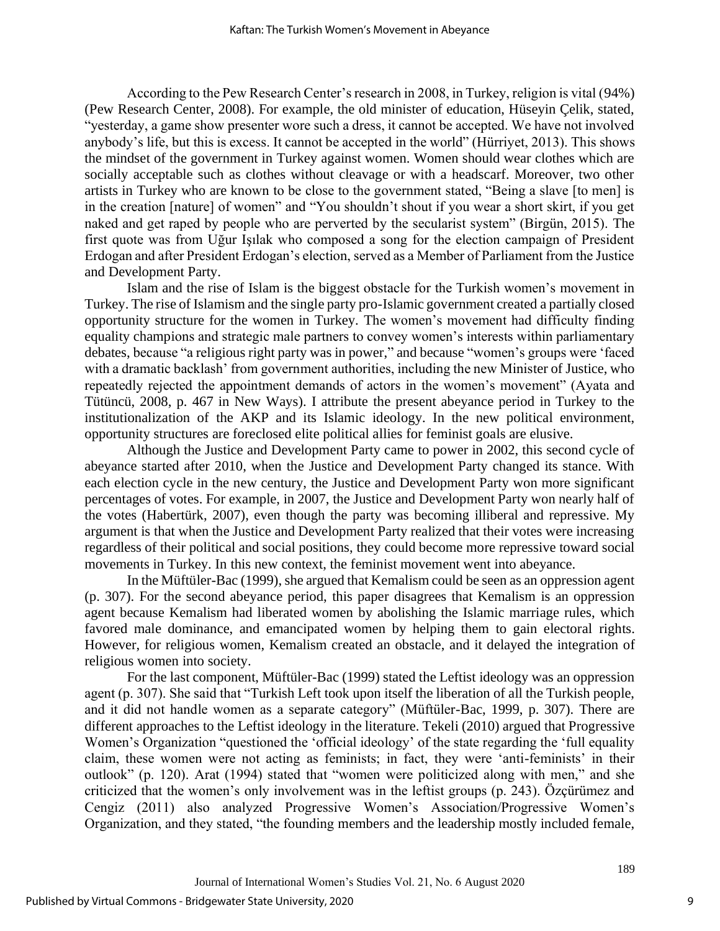According to the Pew Research Center's research in 2008, in Turkey, religion is vital (94%) (Pew Research Center, 2008). For example, the old minister of education, Hüseyin Çelik, stated, "yesterday, a game show presenter wore such a dress, it cannot be accepted. We have not involved anybody's life, but this is excess. It cannot be accepted in the world" (Hürriyet, 2013). This shows the mindset of the government in Turkey against women. Women should wear clothes which are socially acceptable such as clothes without cleavage or with a headscarf. Moreover, two other artists in Turkey who are known to be close to the government stated, "Being a slave [to men] is in the creation [nature] of women" and "You shouldn't shout if you wear a short skirt, if you get naked and get raped by people who are perverted by the secularist system" (Birgün, 2015). The first quote was from Uğur Işılak who composed a song for the election campaign of President Erdogan and after President Erdogan's election, served as a Member of Parliament from the Justice and Development Party.

Islam and the rise of Islam is the biggest obstacle for the Turkish women's movement in Turkey. The rise of Islamism and the single party pro-Islamic government created a partially closed opportunity structure for the women in Turkey. The women's movement had difficulty finding equality champions and strategic male partners to convey women's interests within parliamentary debates, because "a religious right party was in power," and because "women's groups were 'faced with a dramatic backlash' from government authorities, including the new Minister of Justice, who repeatedly rejected the appointment demands of actors in the women's movement" (Ayata and Tütüncü, 2008, p. 467 in New Ways). I attribute the present abeyance period in Turkey to the institutionalization of the AKP and its Islamic ideology. In the new political environment, opportunity structures are foreclosed elite political allies for feminist goals are elusive.

Although the Justice and Development Party came to power in 2002, this second cycle of abeyance started after 2010, when the Justice and Development Party changed its stance. With each election cycle in the new century, the Justice and Development Party won more significant percentages of votes. For example, in 2007, the Justice and Development Party won nearly half of the votes (Habertürk, 2007), even though the party was becoming illiberal and repressive. My argument is that when the Justice and Development Party realized that their votes were increasing regardless of their political and social positions, they could become more repressive toward social movements in Turkey. In this new context, the feminist movement went into abeyance.

In the Müftüler-Bac (1999), she argued that Kemalism could be seen as an oppression agent (p. 307). For the second abeyance period, this paper disagrees that Kemalism is an oppression agent because Kemalism had liberated women by abolishing the Islamic marriage rules, which favored male dominance, and emancipated women by helping them to gain electoral rights. However, for religious women, Kemalism created an obstacle, and it delayed the integration of religious women into society.

For the last component, Müftüler-Bac (1999) stated the Leftist ideology was an oppression agent (p. 307). She said that "Turkish Left took upon itself the liberation of all the Turkish people, and it did not handle women as a separate category" (Müftüler-Bac, 1999, p. 307). There are different approaches to the Leftist ideology in the literature. Tekeli (2010) argued that Progressive Women's Organization "questioned the 'official ideology' of the state regarding the 'full equality claim, these women were not acting as feminists; in fact, they were 'anti-feminists' in their outlook" (p. 120). Arat (1994) stated that "women were politicized along with men," and she criticized that the women's only involvement was in the leftist groups (p. 243). Özçürümez and Cengiz (2011) also analyzed Progressive Women's Association/Progressive Women's Organization, and they stated, "the founding members and the leadership mostly included female,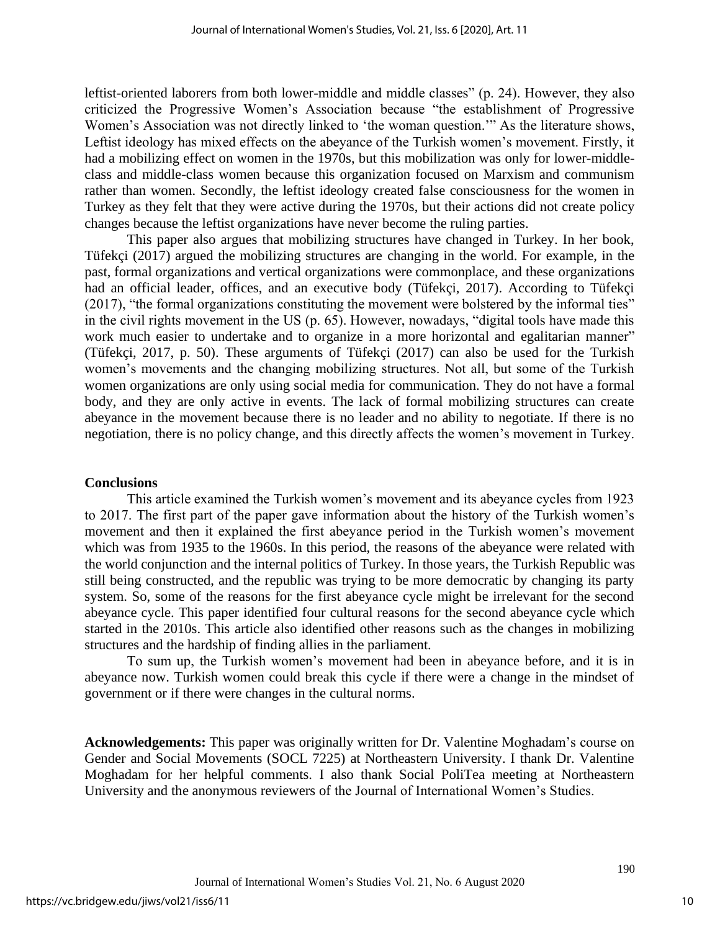leftist-oriented laborers from both lower-middle and middle classes" (p. 24). However, they also criticized the Progressive Women's Association because "the establishment of Progressive Women's Association was not directly linked to 'the woman question.'" As the literature shows, Leftist ideology has mixed effects on the abeyance of the Turkish women's movement. Firstly, it had a mobilizing effect on women in the 1970s, but this mobilization was only for lower-middleclass and middle-class women because this organization focused on Marxism and communism rather than women. Secondly, the leftist ideology created false consciousness for the women in Turkey as they felt that they were active during the 1970s, but their actions did not create policy changes because the leftist organizations have never become the ruling parties.

This paper also argues that mobilizing structures have changed in Turkey. In her book, Tüfekçi (2017) argued the mobilizing structures are changing in the world. For example, in the past, formal organizations and vertical organizations were commonplace, and these organizations had an official leader, offices, and an executive body (Tüfekçi, 2017). According to Tüfekçi (2017), "the formal organizations constituting the movement were bolstered by the informal ties" in the civil rights movement in the US (p. 65). However, nowadays, "digital tools have made this work much easier to undertake and to organize in a more horizontal and egalitarian manner" (Tüfekçi, 2017, p. 50). These arguments of Tüfekçi (2017) can also be used for the Turkish women's movements and the changing mobilizing structures. Not all, but some of the Turkish women organizations are only using social media for communication. They do not have a formal body, and they are only active in events. The lack of formal mobilizing structures can create abeyance in the movement because there is no leader and no ability to negotiate. If there is no negotiation, there is no policy change, and this directly affects the women's movement in Turkey.

#### **Conclusions**

This article examined the Turkish women's movement and its abeyance cycles from 1923 to 2017. The first part of the paper gave information about the history of the Turkish women's movement and then it explained the first abeyance period in the Turkish women's movement which was from 1935 to the 1960s. In this period, the reasons of the abeyance were related with the world conjunction and the internal politics of Turkey. In those years, the Turkish Republic was still being constructed, and the republic was trying to be more democratic by changing its party system. So, some of the reasons for the first abeyance cycle might be irrelevant for the second abeyance cycle. This paper identified four cultural reasons for the second abeyance cycle which started in the 2010s. This article also identified other reasons such as the changes in mobilizing structures and the hardship of finding allies in the parliament.

To sum up, the Turkish women's movement had been in abeyance before, and it is in abeyance now. Turkish women could break this cycle if there were a change in the mindset of government or if there were changes in the cultural norms.

**Acknowledgements:** This paper was originally written for Dr. Valentine Moghadam's course on Gender and Social Movements (SOCL 7225) at Northeastern University. I thank Dr. Valentine Moghadam for her helpful comments. I also thank Social PoliTea meeting at Northeastern University and the anonymous reviewers of the Journal of International Women's Studies.

10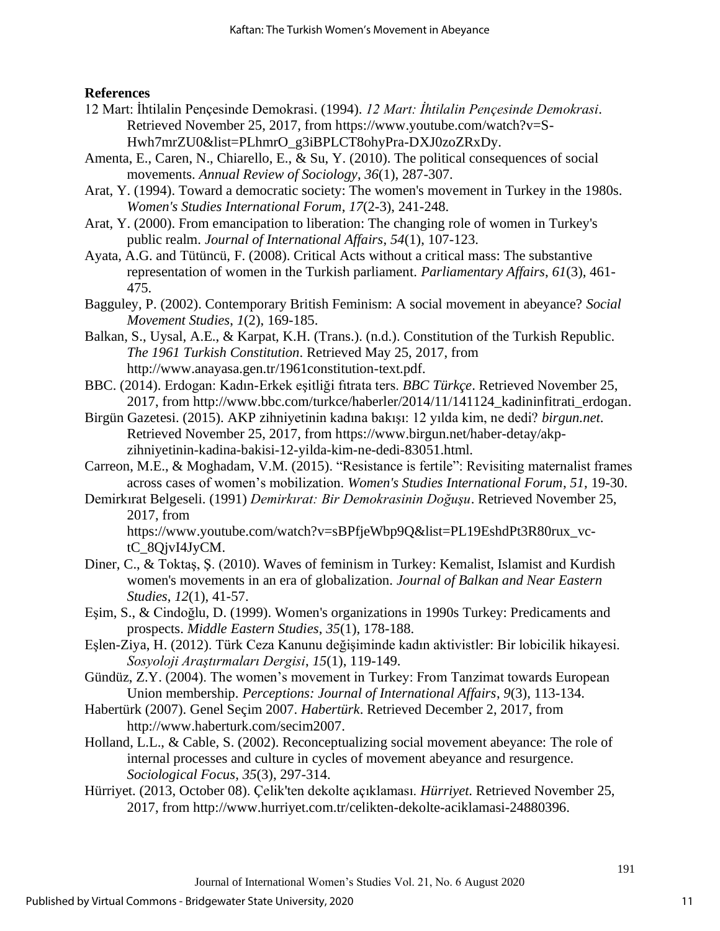### **References**

- 12 Mart: İhtilalin Pençesinde Demokrasi. (1994). *12 Mart: İhtilalin Pençesinde Demokrasi*. Retrieved November 25, 2017, from [https://www.youtube.com/watch?v=S-](https://www.youtube.com/watch?v=S-Hwh7mrZU0&list=PLhmrO_g3iBPLCT8ohyPra-DXJ0zoZRxDy)[Hwh7mrZU0&list=PLhmrO\\_g3iBPLCT8ohyPra-DXJ0zoZRxDy.](https://www.youtube.com/watch?v=S-Hwh7mrZU0&list=PLhmrO_g3iBPLCT8ohyPra-DXJ0zoZRxDy)
- Amenta, E., Caren, N., Chiarello, E., & Su, Y. (2010). The political consequences of social movements. *Annual Review of Sociology*, *36*(1), 287-307.
- Arat, Y. (1994). Toward a democratic society: The women's movement in Turkey in the 1980s. *Women's Studies International Forum*, *17*(2-3), 241-248.
- Arat, Y. (2000). From emancipation to liberation: The changing role of women in Turkey's public realm. *Journal of International Affairs*, *54*(1), 107-123.
- Ayata, A.G. and Tütüncü, F. (2008). Critical Acts without a critical mass: The substantive representation of women in the Turkish parliament. *Parliamentary Affairs*, *61*(3), 461- 475.
- Bagguley, P. (2002). Contemporary British Feminism: A social movement in abeyance? *Social Movement Studies*, *1*(2), 169-185.
- Balkan, S., Uysal, A.E., & Karpat, K.H. (Trans.). (n.d.). Constitution of the Turkish Republic. *The 1961 Turkish Constitution*. Retrieved May 25, 2017, from [http://www.anayasa.gen.tr/1961constitution-text.pdf.](http://www.anayasa.gen.tr/1961constitution-text.pdf)
- BBC. (2014). Erdogan: Kadın-Erkek eşitliği fıtrata ters. *BBC Türkçe*. Retrieved November 25, 2017, from [http://www.bbc.com/turkce/haberler/2014/11/141124\\_kadininfitrati\\_erdogan.](http://www.bbc.com/turkce/haberler/2014/11/141124_kadininfitrati_erdogan)
- Birgün Gazetesi. (2015). AKP zihniyetinin kadına bakışı: 12 yılda kim, ne dedi? *birgun.net*. Retrieved November 25, 2017, from [https://www.birgun.net/haber-detay/akp](https://www.birgun.net/haber-detay/akp-zihniyetinin-kadina-bakisi-12-yilda-kim-ne-dedi-83051.html)[zihniyetinin-kadina-bakisi-12-yilda-kim-ne-dedi-83051.html.](https://www.birgun.net/haber-detay/akp-zihniyetinin-kadina-bakisi-12-yilda-kim-ne-dedi-83051.html)
- Carreon, M.E., & Moghadam, V.M. (2015). "Resistance is fertile": Revisiting maternalist frames across cases of women's mobilization. *Women's Studies International Forum*, *51*, 19-30.
- Demirkırat Belgeseli. (1991) *Demirkırat: Bir Demokrasinin Doğuşu*. Retrieved November 25, 2017, from [https://www.youtube.com/watch?v=sBPfjeWbp9Q&list=PL19EshdPt3R80rux\\_vc](https://www.youtube.com/watch?v=sBPfjeWbp9Q&list=PL19EshdPt3R80rux_vc-tC_8QjvI4JyCM)[tC\\_8QjvI4JyCM.](https://www.youtube.com/watch?v=sBPfjeWbp9Q&list=PL19EshdPt3R80rux_vc-tC_8QjvI4JyCM)
- Diner, C., & Toktaş, Ş. (2010). Waves of feminism in Turkey: Kemalist, Islamist and Kurdish women's movements in an era of globalization. *Journal of Balkan and Near Eastern Studies*, *12*(1), 41-57.
- Eşim, S., & Cindoğlu, D. (1999). Women's organizations in 1990s Turkey: Predicaments and prospects. *Middle Eastern Studies*, *35*(1), 178-188.
- Eşlen-Ziya, H. (2012). Türk Ceza Kanunu değişiminde kadın aktivistler: Bir lobicilik hikayesi. *Sosyoloji Araştırmaları Dergisi*, *15*(1), 119-149.
- Gündüz, Z.Y. (2004). The women's movement in Turkey: From Tanzimat towards European Union membership. *Perceptions: Journal of International Affairs*, *9*(3), 113-134.
- Habertürk (2007). Genel Seçim 2007. *Habertürk*. Retrieved December 2, 2017, from [http://www.haberturk.com/secim2007.](http://www.haberturk.com/secim2007)
- Holland, L.L., & Cable, S. (2002). Reconceptualizing social movement abeyance: The role of internal processes and culture in cycles of movement abeyance and resurgence. *Sociological Focus*, *35*(3), 297-314.
- Hürriyet. (2013, October 08). Çelik'ten dekolte açıklaması. *Hürriyet*. Retrieved November 25, 2017, from [http://www.hurriyet.com.tr/celikten-dekolte-aciklamasi-24880396.](http://www.hurriyet.com.tr/celikten-dekolte-aciklamasi-24880396)